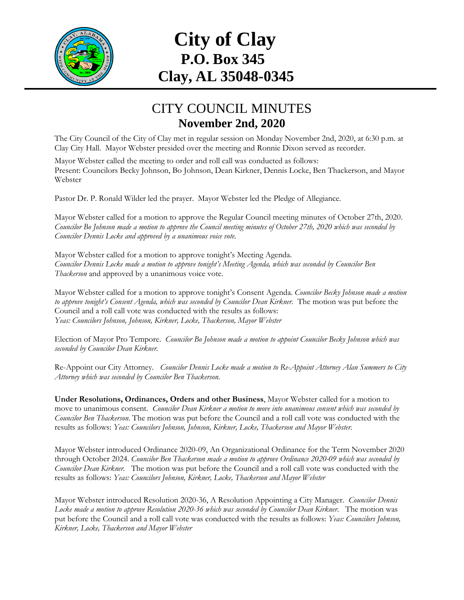

## **City of Clay P.O. Box 345 Clay, AL 35048-0345**

## CITY COUNCIL MINUTES **November 2nd, 2020**

The City Council of the City of Clay met in regular session on Monday November 2nd, 2020, at 6:30 p.m. at Clay City Hall. Mayor Webster presided over the meeting and Ronnie Dixon served as recorder.

Mayor Webster called the meeting to order and roll call was conducted as follows: Present: Councilors Becky Johnson, Bo Johnson, Dean Kirkner, Dennis Locke, Ben Thackerson, and Mayor Webster

Pastor Dr. P. Ronald Wilder led the prayer. Mayor Webster led the Pledge of Allegiance.

Mayor Webster called for a motion to approve the Regular Council meeting minutes of October 27th, 2020. *Councilor Bo Johnson made a motion to approve the Council meeting minutes of October 27th, 2020 which was seconded by Councilor Dennis Locke and approved by a unanimous voice vote.* 

Mayor Webster called for a motion to approve tonight's Meeting Agenda. *Councilor Dennis Locke made a motion to approve tonight's Meeting Agenda, which was seconded by Councilor Ben Thackerson* and approved by a unanimous voice vote.

Mayor Webster called for a motion to approve tonight's Consent Agenda. *Councilor Becky Johnson made a motion to approve tonight's Consent Agenda, which was seconded by Councilor Dean Kirkner.* The motion was put before the Council and a roll call vote was conducted with the results as follows: *Yeas: Councilors Johnson, Johnson, Kirkner, Locke, Thackerson, Mayor Webster*

Election of Mayor Pro Tempore. *Councilor Bo Johnson made a motion to appoint Councilor Becky Johnson which was seconded by Councilor Dean Kirkner.*

Re-Appoint our City Attorney. *Councilor Dennis Locke made a motion to Re-Appoint Attorney Alan Summers to City Attorney which was seconded by Councilor Ben Thackerson.*

**Under Resolutions, Ordinances, Orders and other Business**, Mayor Webster called for a motion to move to unanimous consent. *Councilor Dean Kirkner a motion to move into unanimous consent which was seconded by Councilor Ben Thackerson*. The motion was put before the Council and a roll call vote was conducted with the results as follows: *Yeas: Councilors Johnson, Johnson, Kirkner, Locke, Thackerson and Mayor Webster.*

Mayor Webster introduced Ordinance 2020-09, An Organizational Ordinance for the Term November 2020 through October 2024. *Councilor Ben Thackerson made a motion to approve Ordinance 2020-09 which was seconded by Councilor Dean Kirkner.* The motion was put before the Council and a roll call vote was conducted with the results as follows: *Yeas: Councilors Johnson, Kirkner, Locke, Thackerson and Mayor Webster*

Mayor Webster introduced Resolution 2020-36, A Resolution Appointing a City Manager. *Councilor Dennis Locke made a motion to approve Resolution 2020-36 which was seconded by Councilor Dean Kirkner.* The motion was put before the Council and a roll call vote was conducted with the results as follows: *Yeas: Councilors Johnson, Kirkner, Locke, Thackerson and Mayor Webster*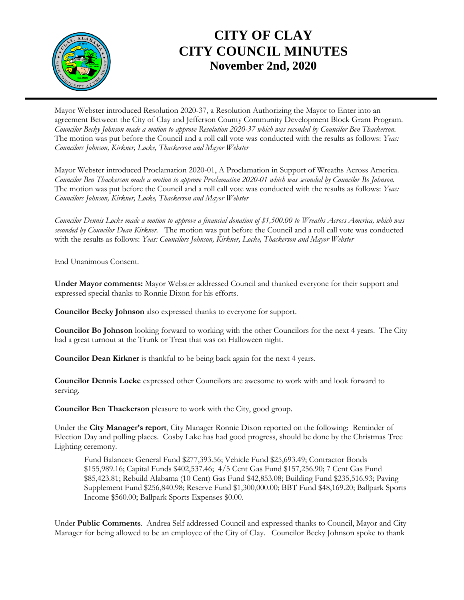

## **CITY OF CLAY CITY COUNCIL MINUTES November 2nd, 2020**

Mayor Webster introduced Resolution 2020-37, a Resolution Authorizing the Mayor to Enter into an agreement Between the City of Clay and Jefferson County Community Development Block Grant Program. *Councilor Becky Johnson made a motion to approve Resolution 2020-37 which was seconded by Councilor Ben Thackerson.*  The motion was put before the Council and a roll call vote was conducted with the results as follows: *Yeas: Councilors Johnson, Kirkner, Locke, Thackerson and Mayor Webster*

Mayor Webster introduced Proclamation 2020-01, A Proclamation in Support of Wreaths Across America. *Councilor Ben Thackerson made a motion to approve Proclamation 2020-01 which was seconded by Councilor Bo Johnson.*  The motion was put before the Council and a roll call vote was conducted with the results as follows: *Yeas: Councilors Johnson, Kirkner, Locke, Thackerson and Mayor Webster*

*Councilor Dennis Locke made a motion to approve a financial donation of \$1,500.00 to Wreaths Across America, which was seconded by Councilor Dean Kirkner.* The motion was put before the Council and a roll call vote was conducted with the results as follows: *Yeas: Councilors Johnson, Kirkner, Locke, Thackerson and Mayor Webster*

End Unanimous Consent.

**Under Mayor comments:** Mayor Webster addressed Council and thanked everyone for their support and expressed special thanks to Ronnie Dixon for his efforts.

**Councilor Becky Johnson** also expressed thanks to everyone for support.

**Councilor Bo Johnson** looking forward to working with the other Councilors for the next 4 years. The City had a great turnout at the Trunk or Treat that was on Halloween night.

**Councilor Dean Kirkner** is thankful to be being back again for the next 4 years.

**Councilor Dennis Locke** expressed other Councilors are awesome to work with and look forward to serving.

**Councilor Ben Thackerson** pleasure to work with the City, good group.

Under the **City Manager's report**, City Manager Ronnie Dixon reported on the following: Reminder of Election Day and polling places. Cosby Lake has had good progress, should be done by the Christmas Tree Lighting ceremony.

Fund Balances: General Fund \$277,393.56; Vehicle Fund \$25,693.49; Contractor Bonds \$155,989.16; Capital Funds \$402,537.46; 4/5 Cent Gas Fund \$157,256.90; 7 Cent Gas Fund \$85,423.81; Rebuild Alabama (10 Cent) Gas Fund \$42,853.08; Building Fund \$235,516.93; Paving Supplement Fund \$256,840.98; Reserve Fund \$1,300,000.00; BBT Fund \$48,169.20; Ballpark Sports Income \$560.00; Ballpark Sports Expenses \$0.00.

Under **Public Comments**. Andrea Self addressed Council and expressed thanks to Council, Mayor and City Manager for being allowed to be an employee of the City of Clay. Councilor Becky Johnson spoke to thank